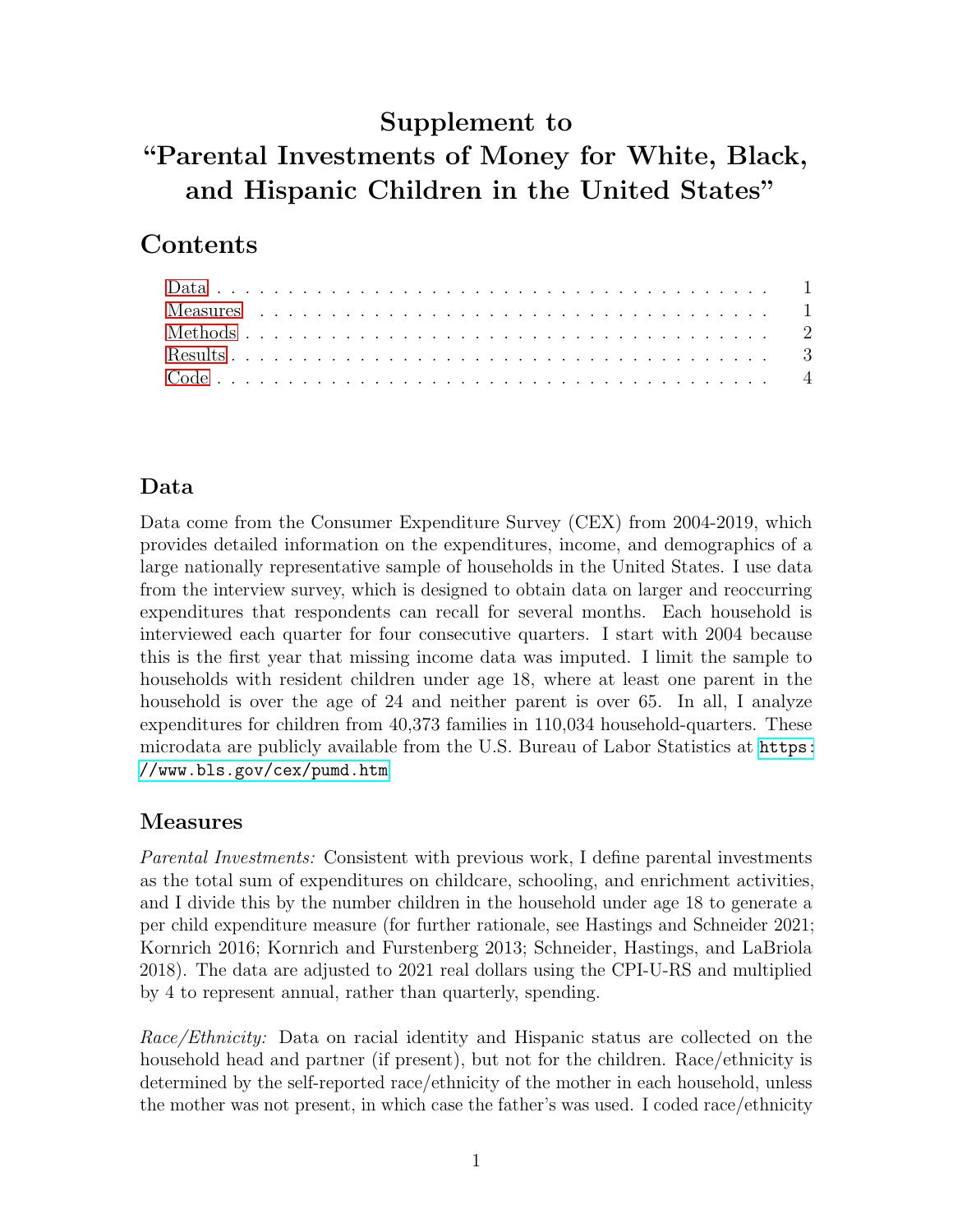# Supplement to

# "Parental Investments of Money for White, Black, and Hispanic Children in the United States"

# Contents

### <span id="page-0-0"></span>Data

Data come from the Consumer Expenditure Survey (CEX) from 2004-2019, which provides detailed information on the expenditures, income, and demographics of a large nationally representative sample of households in the United States. I use data from the interview survey, which is designed to obtain data on larger and reoccurring expenditures that respondents can recall for several months. Each household is interviewed each quarter for four consecutive quarters. I start with 2004 because this is the first year that missing income data was imputed. I limit the sample to households with resident children under age 18, where at least one parent in the household is over the age of 24 and neither parent is over 65. In all, I analyze expenditures for children from 40,373 families in 110,034 household-quarters. These microdata are publicly available from the U.S. Bureau of Labor Statistics at [https:](https://www.bls.gov/cex/pumd.htm) [//www.bls.gov/cex/pumd.htm](https://www.bls.gov/cex/pumd.htm)

### <span id="page-0-1"></span>Measures

Parental Investments: Consistent with previous work, I define parental investments as the total sum of expenditures on childcare, schooling, and enrichment activities, and I divide this by the number children in the household under age 18 to generate a per child expenditure measure (for further rationale, see Hastings and Schneider 2021; Kornrich 2016; Kornrich and Furstenberg 2013; Schneider, Hastings, and LaBriola 2018). The data are adjusted to 2021 real dollars using the CPI-U-RS and multiplied by 4 to represent annual, rather than quarterly, spending.

Race/Ethnicity: Data on racial identity and Hispanic status are collected on the household head and partner (if present), but not for the children. Race/ethnicity is determined by the self-reported race/ethnicity of the mother in each household, unless the mother was not present, in which case the father's was used. I coded race/ethnicity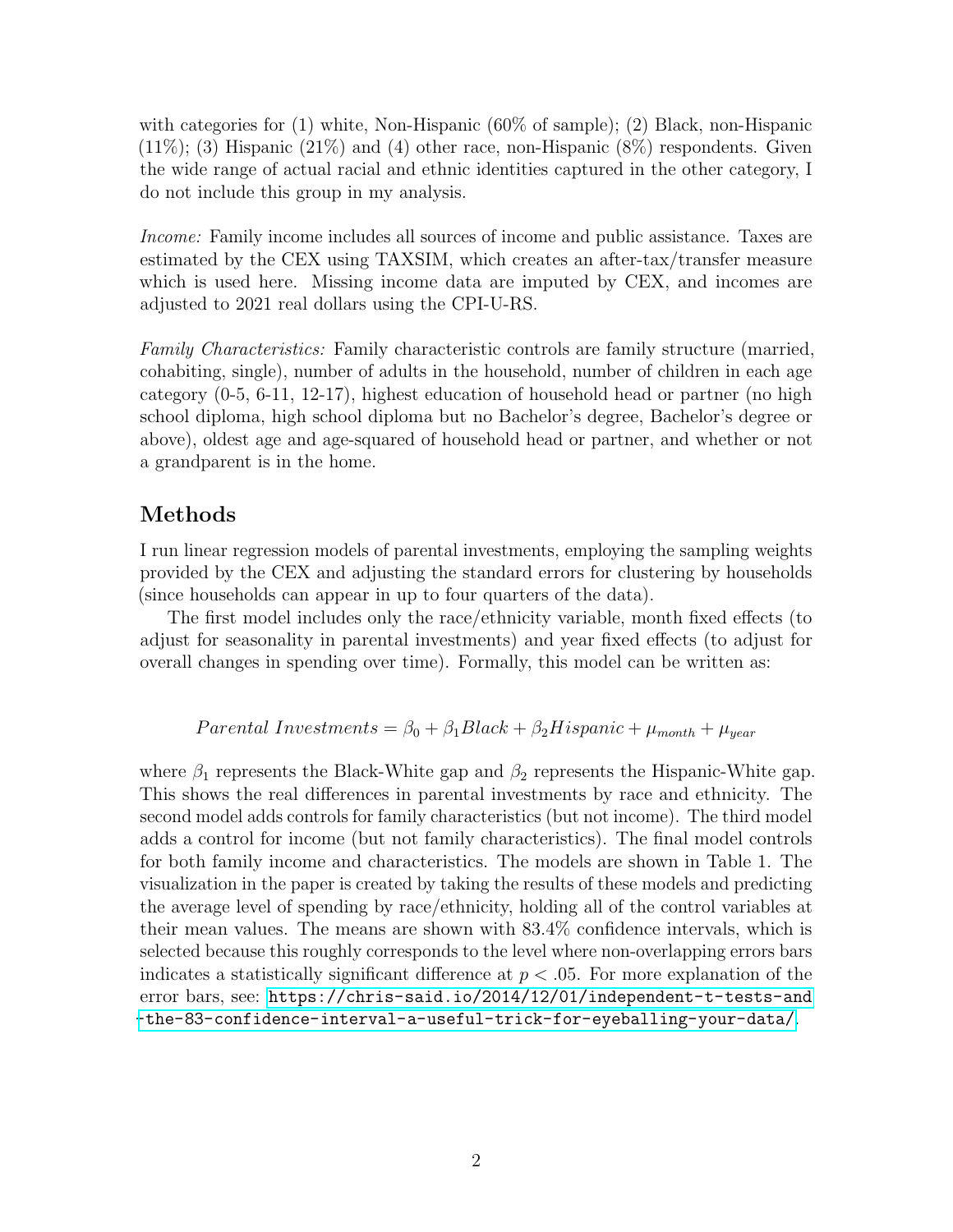with categories for (1) white, Non-Hispanic (60% of sample); (2) Black, non-Hispanic  $(11\%)$ ; (3) Hispanic  $(21\%)$  and (4) other race, non-Hispanic  $(8\%)$  respondents. Given the wide range of actual racial and ethnic identities captured in the other category, I do not include this group in my analysis.

Income: Family income includes all sources of income and public assistance. Taxes are estimated by the CEX using TAXSIM, which creates an after-tax/transfer measure which is used here. Missing income data are imputed by CEX, and incomes are adjusted to 2021 real dollars using the CPI-U-RS.

Family Characteristics: Family characteristic controls are family structure (married, cohabiting, single), number of adults in the household, number of children in each age category (0-5, 6-11, 12-17), highest education of household head or partner (no high school diploma, high school diploma but no Bachelor's degree, Bachelor's degree or above), oldest age and age-squared of household head or partner, and whether or not a grandparent is in the home.

#### <span id="page-1-0"></span>Methods

I run linear regression models of parental investments, employing the sampling weights provided by the CEX and adjusting the standard errors for clustering by households (since households can appear in up to four quarters of the data).

The first model includes only the race/ethnicity variable, month fixed effects (to adjust for seasonality in parental investments) and year fixed effects (to adjust for overall changes in spending over time). Formally, this model can be written as:

#### Parental Investments =  $\beta_0 + \beta_1 Black + \beta_2 Hispanic + \mu_{month} + \mu_{year}$

where  $\beta_1$  represents the Black-White gap and  $\beta_2$  represents the Hispanic-White gap. This shows the real differences in parental investments by race and ethnicity. The second model adds controls for family characteristics (but not income). The third model adds a control for income (but not family characteristics). The final model controls for both family income and characteristics. The models are shown in Table 1. The visualization in the paper is created by taking the results of these models and predicting the average level of spending by race/ethnicity, holding all of the control variables at their mean values. The means are shown with 83.4% confidence intervals, which is selected because this roughly corresponds to the level where non-overlapping errors bars indicates a statistically significant difference at  $p < .05$ . For more explanation of the error bars, see: [https://chris-said.io/2014/12/01/independent-t-tests-and](https://chris-said.io/2014/12/01/independent-t-tests-and-the-83-confidence-interval-a-useful-trick-for-eyeballing-your-data/) [-the-83-confidence-interval-a-useful-trick-for-eyeballing-your-data/](https://chris-said.io/2014/12/01/independent-t-tests-and-the-83-confidence-interval-a-useful-trick-for-eyeballing-your-data/).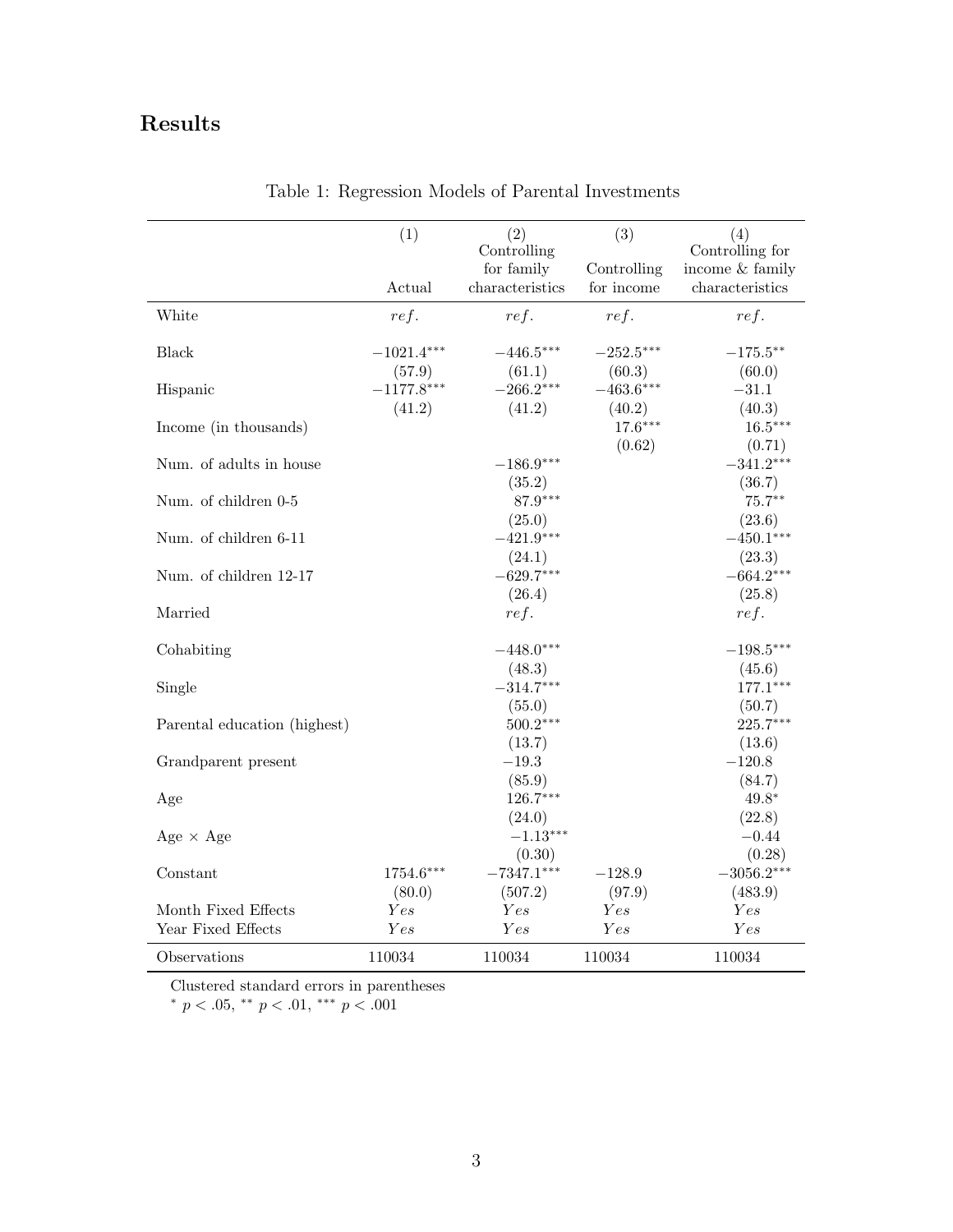# <span id="page-2-0"></span>Results

| Controlling<br>Controlling for<br>for family<br>income & family<br>Controlling<br>characteristics<br>for income<br>characteristics<br>Actual<br>White<br>ref.<br>ref.<br>ref.<br>ref. |            |
|---------------------------------------------------------------------------------------------------------------------------------------------------------------------------------------|------------|
|                                                                                                                                                                                       |            |
|                                                                                                                                                                                       |            |
|                                                                                                                                                                                       |            |
| <b>Black</b><br>$-1021.4***$<br>$-446.5***$<br>$-252.5***$<br>$-175.5***$                                                                                                             |            |
| (61.1)<br>(60.3)<br>(57.9)<br>(60.0)<br>$-266.2***$<br>$-463.6***$<br>$-1177.8***$<br>$-31.1$<br>Hispanic                                                                             |            |
| (41.2)<br>(41.2)<br>(40.2)<br>(40.3)<br>$17.6***$<br>Income (in thousands)                                                                                                            | $16.5***$  |
| (0.62)                                                                                                                                                                                | (0.71)     |
| $-341.2***$<br>Num. of adults in house<br>$-186.9***$<br>(35.2)<br>(36.7)                                                                                                             |            |
| $87.9***$<br>Num. of children 0-5                                                                                                                                                     | $75.7**$   |
| (25.0)<br>(23.6)<br>Num. of children 6-11<br>$-421.9***$<br>$-450.1***$                                                                                                               |            |
| (24.1)<br>(23.3)<br>$-629.7***$<br>$-664.2***$<br>Num. of children 12-17                                                                                                              |            |
| (25.8)<br>(26.4)                                                                                                                                                                      |            |
| Married<br>ref.<br>ref.                                                                                                                                                               |            |
| Cohabiting<br>$-448.0***$<br>$-198.5***$                                                                                                                                              |            |
| (48.3)<br>(45.6)<br>$-314.7***$<br>Single                                                                                                                                             | $177.1***$ |
| (55.0)<br>(50.7)                                                                                                                                                                      |            |
| $500.2***$<br>Parental education (highest)<br>(13.7)<br>(13.6)                                                                                                                        | 225.7***   |
| $-19.3$<br>$-120.8$<br>Grandparent present                                                                                                                                            |            |
| (85.9)<br>(84.7)<br>$126.7***$<br>$49.8*$<br>Age                                                                                                                                      |            |
| (22.8)<br>(24.0)                                                                                                                                                                      |            |
| $-1.13***$<br>$-0.44$<br>Age $\times$ Age                                                                                                                                             |            |
| (0.30)<br>1754.6***<br>$-7347.1***$<br>$-3056.2***$<br>Constant<br>$-128.9$                                                                                                           | (0.28)     |
| (80.0)<br>(507.2)<br>(97.9)<br>(483.9)<br>Month Fixed Effects<br>Yes<br>Yes<br>Yes<br>Yes                                                                                             |            |
| Year Fixed Effects<br>Yes<br>Yes<br>Yes<br>Yes                                                                                                                                        |            |
| 110034<br>110034<br>110034<br>110034<br>Observations                                                                                                                                  |            |

Table 1: Regression Models of Parental Investments

Clustered standard errors in parentheses

\*  $p < .05$ , \*\*  $p < .01$ , \*\*\*  $p < .001$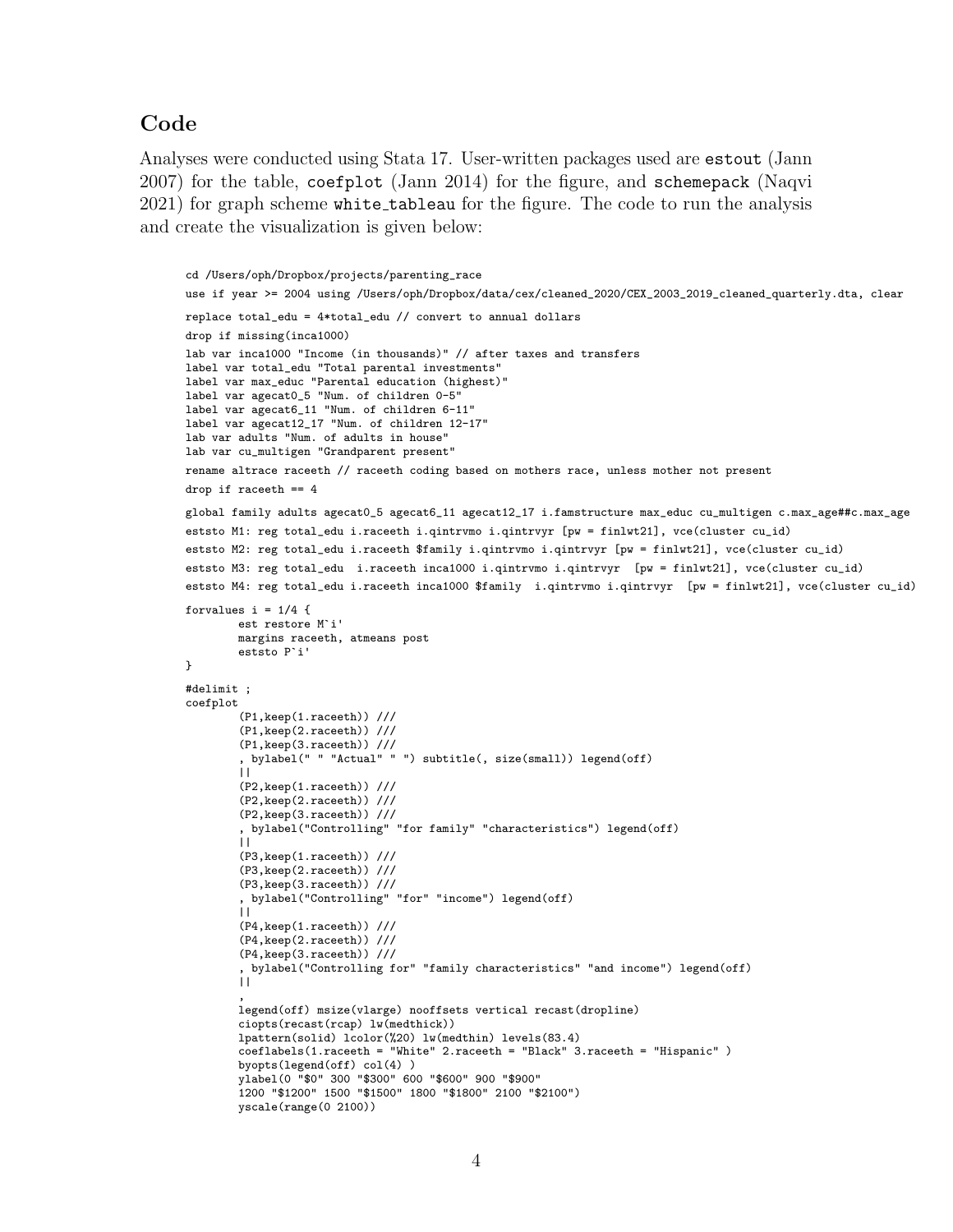### <span id="page-3-0"></span>Code

Analyses were conducted using Stata 17. User-written packages used are estout (Jann 2007) for the table, coefplot (Jann 2014) for the figure, and schemepack (Naqvi 2021) for graph scheme white tableau for the figure. The code to run the analysis and create the visualization is given below:

```
cd /Users/oph/Dropbox/projects/parenting_race
use if year >= 2004 using /Users/oph/Dropbox/data/cex/cleaned_2020/CEX_2003_2019_cleaned_quarterly.dta, clear
replace total_edu = 4*total_edu // convert to annual dollars
drop if missing(inca1000)
lab var inca1000 "Income (in thousands)" // after taxes and transfers
label var total_edu "Total parental investments"
label var max_educ "Parental education (highest)"
label var agecat0_5 "Num. of children 0-5"
label var agecat6_11 "Num. of children 6-11"
label var agecat12_17 "Num. of children 12-17"
lab var adults "Num. of adults in house"
lab var cu_multigen "Grandparent present"
rename altrace raceeth // raceeth coding based on mothers race, unless mother not present
drop if raceeth == 4
global family adults agecat0_5 agecat6_11 agecat12_17 i.famstructure max_educ cu_multigen c.max_age##c.max_age
eststo M1: reg total_edu i.raceeth i.qintrvmo i.qintrvyr [pw = finlwt21], vce(cluster cu_id)
eststo M2: reg total_edu i.raceeth $family i.qintrvmo i.qintrvyr [pw = finlwt21], vce(cluster cu_id)
eststo M3: reg total_edu i.raceeth inca1000 i.qintrvmo i.qintrvyr [pw = finlwt21], vce(cluster cu_id)
eststo M4: reg total_edu i.raceeth inca1000 $family i.qintrvmo i.qintrvyr [pw = finlwt21], vce(cluster cu_id)
forvalues i = 1/4 {
        est restore M`i'
       margins raceeth, atmeans post
        eststo P`i'
}
#delimit ;
coefplot
        (P1,keep(1.raceeth)) ///
        (P1,keep(2.raceeth)) ///
        (P1,keep(3.raceeth)) ///
        , bylabel(" " "Actual" " ") subtitle(, size(small)) legend(off)
        | \cdot |(P2,keep(1.raceeth)) ///
        (P2,keep(2.raceeth)) ///
        (P2,keep(3.raceeth)) ///
        , bylabel("Controlling" "for family" "characteristics") legend(off)
        | \cdot |(P3,keep(1.raceeth)) ///
        (P3,keep(2.raceeth)) ///
        (P3,keep(3.raceeth)) ///
        , bylabel("Controlling" "for" "income") legend(off)
        ||(P4,keep(1.raceeth)) ///
        (P4,keep(2.raceeth)) ///
        (P4,keep(3.raceeth)) ///
         , bylabel("Controlling for" "family characteristics" "and income") legend(off)
        ||,
        legend(off) msize(vlarge) nooffsets vertical recast(dropline)
        ciopts(recast(rcap) lw(medthick))
        lpattern(solid) lcolor(%20) lw(medthin) levels(83.4)
        coeflabels(1.raceeth = "White" 2.raceeth = "Black" 3.raceeth = "Hispanic" )
        byopts(legend(off) col(4) )
        ylabel(0 "$0" 300 "$300" 600 "$600" 900 "$900"
        1200 "$1200" 1500 "$1500" 1800 "$1800" 2100 "$2100")
        yscale(range(0 2100))
```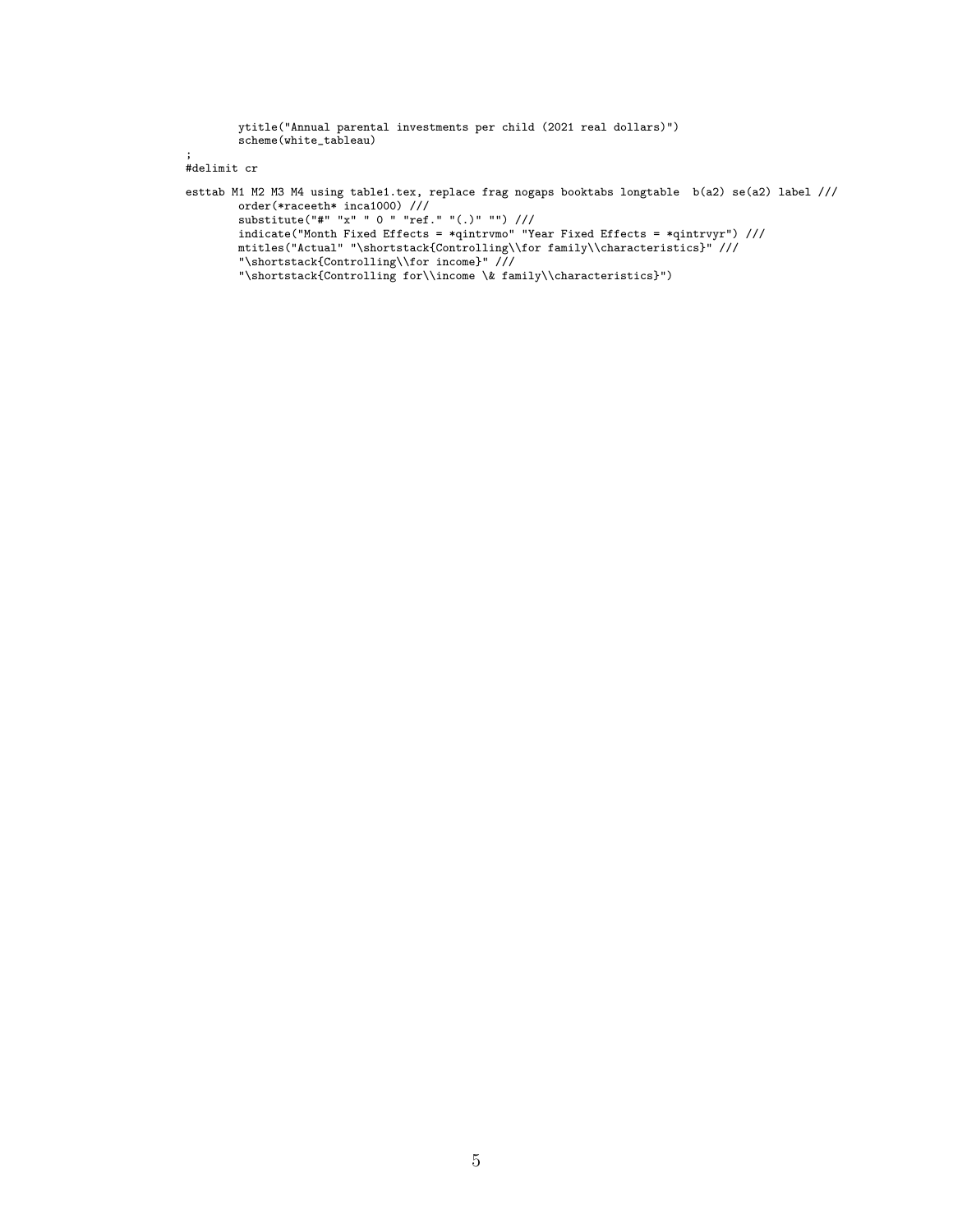ytitle("Annual parental investments per child (2021 real dollars)") scheme(white\_tableau)

```
;
#delimit cr
```

```
esttab M1 M2 M3 M4 using table1.tex, replace frag nogaps booktabs longtable b(a2) se(a2) label ///
        order(*raceeth* inca1000) ///
        substitute("#" "x" " 0 " "ref." "(.)" "") ///
       indicate("Month Fixed Effects = *qintrvmo" "Year Fixed Effects = *qintrvyr") ///
        mtitles("Actual" "\shortstack{Controlling\\for family\\characteristics}" ///
        "\shortstack{Controlling\\for income}" ///
        "\shortstack{Controlling for\\income \& family\\characteristics}")
```